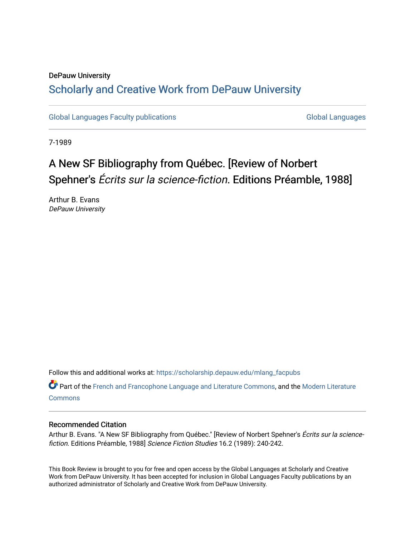### DePauw University Scholarly and [Creative Work from DePauw Univ](https://scholarship.depauw.edu/)ersity

[Global Languages Faculty publications](https://scholarship.depauw.edu/mlang_facpubs) [Global Languages](https://scholarship.depauw.edu/modernlanguages) Global Languages

7-1989

## A New SF Bibliography from Québec. [Review of Norbert Spehner's Écrits sur la science-fiction. Editions Préamble, 1988]

Arthur B. Evans DePauw University

Follow this and additional works at: [https://scholarship.depauw.edu/mlang\\_facpubs](https://scholarship.depauw.edu/mlang_facpubs?utm_source=scholarship.depauw.edu%2Fmlang_facpubs%2F38&utm_medium=PDF&utm_campaign=PDFCoverPages)

Part of the [French and Francophone Language and Literature Commons,](https://network.bepress.com/hgg/discipline/463?utm_source=scholarship.depauw.edu%2Fmlang_facpubs%2F38&utm_medium=PDF&utm_campaign=PDFCoverPages) and the [Modern Literature](https://network.bepress.com/hgg/discipline/1050?utm_source=scholarship.depauw.edu%2Fmlang_facpubs%2F38&utm_medium=PDF&utm_campaign=PDFCoverPages) **[Commons](https://network.bepress.com/hgg/discipline/1050?utm_source=scholarship.depauw.edu%2Fmlang_facpubs%2F38&utm_medium=PDF&utm_campaign=PDFCoverPages)** 

#### Recommended Citation

Arthur B. Evans. "A New SF Bibliography from Québec." [Review of Norbert Spehner's Écrits sur la sciencefiction. Editions Préamble, 1988] Science Fiction Studies 16.2 (1989): 240-242.

This Book Review is brought to you for free and open access by the Global Languages at Scholarly and Creative Work from DePauw University. It has been accepted for inclusion in Global Languages Faculty publications by an authorized administrator of Scholarly and Creative Work from DePauw University.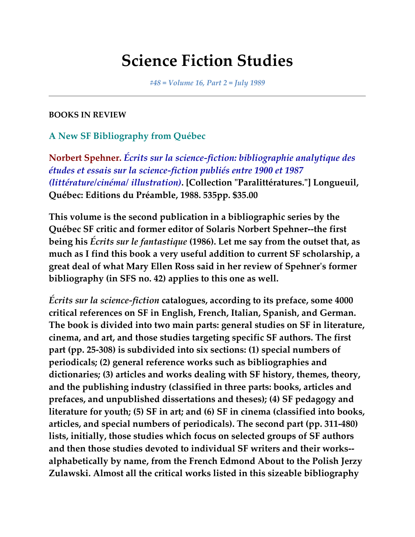# **Science Fiction Studies**

*#48 = Volume 16, Part 2 = July 1989*

### **BOOKS IN REVIEW**

### **A New SF Bibliography from Québec**

**Norbert Spehner.** *Écrits sur la science-fiction: bibliographie analytique des études et essais sur la science-fiction publiés entre 1900 et 1987 (littérature/cinéma/ illustration)***. [Collection "Paralittératures."] Longueuil, Québec: Editions du Préamble, 1988. 535pp. \$35.00**

**This volume is the second publication in a bibliographic series by the Québec SF critic and former editor of Solaris Norbert Spehner--the first being his** *Écrits sur le fantastique* **(1986). Let me say from the outset that, as much as I find this book a very useful addition to current SF scholarship, a great deal of what Mary Ellen Ross said in her review of Spehner's former bibliography (in SFS no. 42) applies to this one as well.**

*Écrits sur la science-fiction* **catalogues, according to its preface, some 4000 critical references on SF in English, French, Italian, Spanish, and German. The book is divided into two main parts: general studies on SF in literature, cinema, and art, and those studies targeting specific SF authors. The first part (pp. 25-308) is subdivided into six sections: (1) special numbers of periodicals; (2) general reference works such as bibliographies and dictionaries; (3) articles and works dealing with SF history, themes, theory, and the publishing industry (classified in three parts: books, articles and prefaces, and unpublished dissertations and theses); (4) SF pedagogy and literature for youth; (5) SF in art; and (6) SF in cinema (classified into books, articles, and special numbers of periodicals). The second part (pp. 311-480) lists, initially, those studies which focus on selected groups of SF authors and then those studies devoted to individual SF writers and their works- alphabetically by name, from the French Edmond About to the Polish Jerzy Zulawski. Almost all the critical works listed in this sizeable bibliography**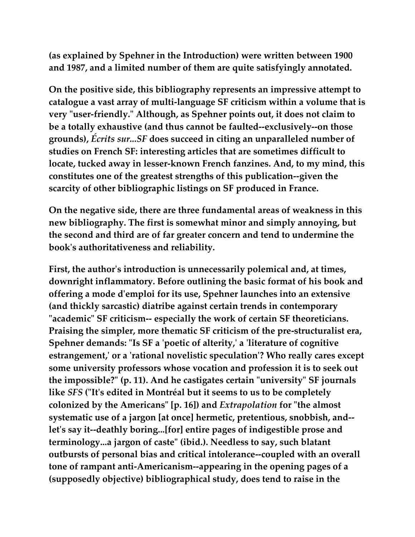**(as explained by Spehner in the Introduction) were written between 1900 and 1987, and a limited number of them are quite satisfyingly annotated.**

**On the positive side, this bibliography represents an impressive attempt to catalogue a vast array of multi-language SF criticism within a volume that is very "user-friendly." Although, as Spehner points out, it does not claim to be a totally exhaustive (and thus cannot be faulted--exclusively--on those grounds),** *Écrits sur...SF* **does succeed in citing an unparalleled number of studies on French SF: interesting articles that are sometimes difficult to locate, tucked away in lesser-known French fanzines. And, to my mind, this constitutes one of the greatest strengths of this publication--given the scarcity of other bibliographic listings on SF produced in France.**

**On the negative side, there are three fundamental areas of weakness in this new bibliography. The first is somewhat minor and simply annoying, but the second and third are of far greater concern and tend to undermine the book's authoritativeness and reliability.**

**First, the author's introduction is unnecessarily polemical and, at times, downright inflammatory. Before outlining the basic format of his book and offering a mode d'emploi for its use, Spehner launches into an extensive (and thickly sarcastic) diatribe against certain trends in contemporary "academic" SF criticism-- especially the work of certain SF theoreticians. Praising the simpler, more thematic SF criticism of the pre-structuralist era, Spehner demands: "Is SF a 'poetic of alterity,' a 'literature of cognitive estrangement,' or a 'rational novelistic speculation'? Who really cares except some university professors whose vocation and profession it is to seek out the impossible?" (p. 11). And he castigates certain "university" SF journals like** *SFS* **("It's edited in Montréal but it seems to us to be completely colonized by the Americans" [p. 16]) and** *Extrapolation* **for "the almost systematic use of a jargon [at once] hermetic, pretentious, snobbish, and- let's say it--deathly boring...[for] entire pages of indigestible prose and terminology...a jargon of caste" (ibid.). Needless to say, such blatant outbursts of personal bias and critical intolerance--coupled with an overall tone of rampant anti-Americanism--appearing in the opening pages of a (supposedly objective) bibliographical study, does tend to raise in the**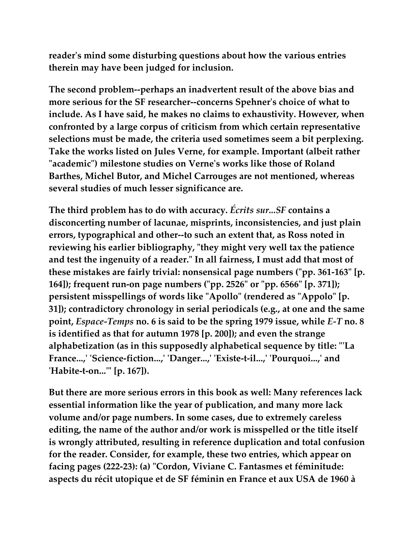**reader's mind some disturbing questions about how the various entries therein may have been judged for inclusion.**

**The second problem--perhaps an inadvertent result of the above bias and more serious for the SF researcher--concerns Spehner's choice of what to include. As I have said, he makes no claims to exhaustivity. However, when confronted by a large corpus of criticism from which certain representative selections must be made, the criteria used sometimes seem a bit perplexing. Take the works listed on Jules Verne, for example. Important (albeit rather "academic") milestone studies on Verne's works like those of Roland Barthes, Michel Butor, and Michel Carrouges are not mentioned, whereas several studies of much lesser significance are.**

**The third problem has to do with accuracy.** *Écrits sur...SF* **contains a disconcerting number of lacunae, misprints, inconsistencies, and just plain errors, typographical and other--to such an extent that, as Ross noted in reviewing his earlier bibliography, "they might very well tax the patience and test the ingenuity of a reader." In all fairness, I must add that most of these mistakes are fairly trivial: nonsensical page numbers ("pp. 361-163" [p. 164]); frequent run-on page numbers ("pp. 2526" or "pp. 6566" [p. 371]); persistent misspellings of words like "Apollo" (rendered as "Appolo" [p. 31]); contradictory chronology in serial periodicals (e.g., at one and the same point,** *Espace-Temps* **no. 6 is said to be the spring 1979 issue, while** *E-T* **no. 8 is identified as that for autumn 1978 [p. 200]); and even the strange alphabetization (as in this supposedly alphabetical sequence by title: "'La France...,' 'Science-fiction...,' 'Danger...,' 'Existe-t-il...,' 'Pourquoi...,' and 'Habite-t-on...'" [p. 167]).**

**But there are more serious errors in this book as well: Many references lack essential information like the year of publication, and many more lack volume and/or page numbers. In some cases, due to extremely careless editing, the name of the author and/or work is misspelled or the title itself is wrongly attributed, resulting in reference duplication and total confusion for the reader. Consider, for example, these two entries, which appear on facing pages (222-23): (a) "Cordon, Viviane C. Fantasmes et féminitude: aspects du récit utopique et de SF féminin en France et aux USA de 1960 à**